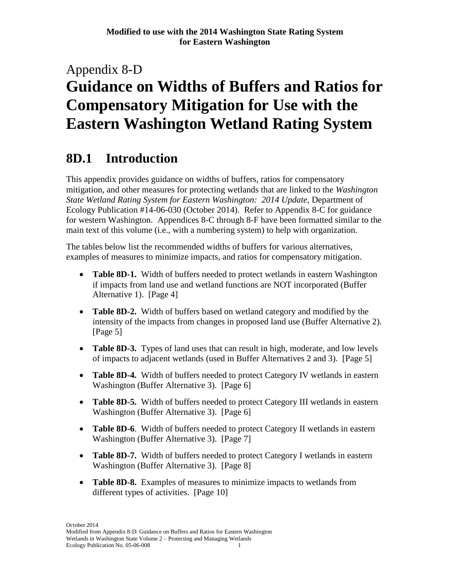# Appendix 8-D **Guidance on Widths of Buffers and Ratios for Compensatory Mitigation for Use with the Eastern Washington Wetland Rating System**

# **8D.1 Introduction**

This appendix provides guidance on widths of buffers, ratios for compensatory mitigation, and other measures for protecting wetlands that are linked to the *Washington State Wetland Rating System for Eastern Washington: 2014 Update,* Department of Ecology Publication #14-06-030 (October 2014). Refer to Appendix 8-C for guidance for western Washington. Appendices 8-C through 8-F have been formatted similar to the main text of this volume (i.e., with a numbering system) to help with organization.

The tables below list the recommended widths of buffers for various alternatives, examples of measures to minimize impacts, and ratios for compensatory mitigation.

- **Table 8D-1.** Width of buffers needed to protect wetlands in eastern Washington if impacts from land use and wetland functions are NOT incorporated (Buffer Alternative 1). [Page 4]
- **Table 8D-2.** Width of buffers based on wetland category and modified by the intensity of the impacts from changes in proposed land use (Buffer Alternative 2). [Page 5]
- **Table 8D-3.** Types of land uses that can result in high, moderate, and low levels of impacts to adjacent wetlands (used in Buffer Alternatives 2 and 3). [Page 5]
- Table 8D-4. Width of buffers needed to protect Category IV wetlands in eastern Washington (Buffer Alternative 3). [Page 6]
- **Table 8D-5.** Width of buffers needed to protect Category III wetlands in eastern Washington (Buffer Alternative 3). [Page 6]
- **Table 8D-6**. Width of buffers needed to protect Category II wetlands in eastern Washington (Buffer Alternative 3). [Page 7]
- **Table 8D-7.** Width of buffers needed to protect Category I wetlands in eastern Washington (Buffer Alternative 3). [Page 8]
- **Table 8D-8.** Examples of measures to minimize impacts to wetlands from different types of activities. [Page 10]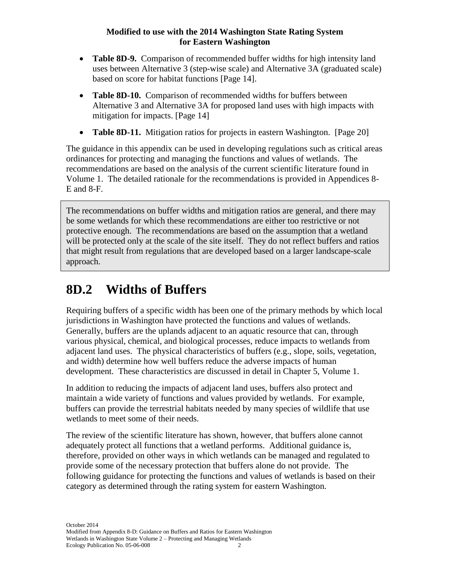- **Table 8D-9.** Comparison of recommended buffer widths for high intensity land uses between Alternative 3 (step-wise scale) and Alternative 3A (graduated scale) based on score for habitat functions [Page 14].
- **Table 8D-10.** Comparison of recommended widths for buffers between Alternative 3 and Alternative 3A for proposed land uses with high impacts with mitigation for impacts. [Page 14]
- **Table 8D-11.** Mitigation ratios for projects in eastern Washington. [Page 20]

The guidance in this appendix can be used in developing regulations such as critical areas ordinances for protecting and managing the functions and values of wetlands. The recommendations are based on the analysis of the current scientific literature found in Volume 1. The detailed rationale for the recommendations is provided in Appendices 8- E and 8-F.

The recommendations on buffer widths and mitigation ratios are general, and there may be some wetlands for which these recommendations are either too restrictive or not protective enough. The recommendations are based on the assumption that a wetland will be protected only at the scale of the site itself. They do not reflect buffers and ratios that might result from regulations that are developed based on a larger landscape-scale approach.

# **8D.2 Widths of Buffers**

Requiring buffers of a specific width has been one of the primary methods by which local jurisdictions in Washington have protected the functions and values of wetlands. Generally, buffers are the uplands adjacent to an aquatic resource that can, through various physical, chemical, and biological processes, reduce impacts to wetlands from adjacent land uses. The physical characteristics of buffers (e.g., slope, soils, vegetation, and width) determine how well buffers reduce the adverse impacts of human development. These characteristics are discussed in detail in Chapter 5, Volume 1.

In addition to reducing the impacts of adjacent land uses, buffers also protect and maintain a wide variety of functions and values provided by wetlands. For example, buffers can provide the terrestrial habitats needed by many species of wildlife that use wetlands to meet some of their needs.

The review of the scientific literature has shown, however, that buffers alone cannot adequately protect all functions that a wetland performs. Additional guidance is, therefore, provided on other ways in which wetlands can be managed and regulated to provide some of the necessary protection that buffers alone do not provide. The following guidance for protecting the functions and values of wetlands is based on their category as determined through the rating system for eastern Washington.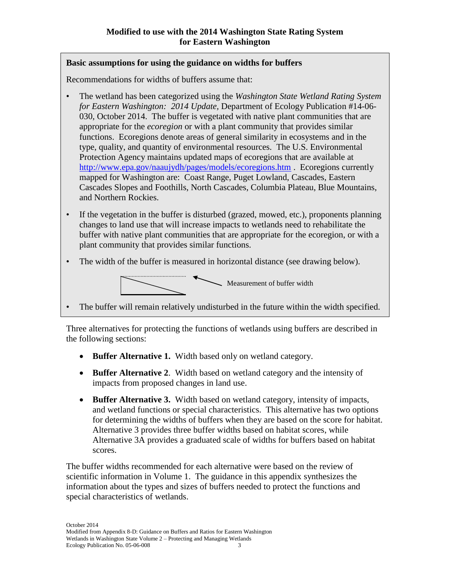### **Basic assumptions for using the guidance on widths for buffers**

Recommendations for widths of buffers assume that:

- The wetland has been categorized using the *Washington State Wetland Rating System for Eastern Washington: 2014 Update,* Department of Ecology Publication #14-06- 030, October 2014. The buffer is vegetated with native plant communities that are appropriate for the *ecoregion* or with a plant community that provides similar functions. Ecoregions denote areas of general similarity in ecosystems and in the type, quality, and quantity of environmental resources. The U.S. Environmental Protection Agency maintains updated maps of ecoregions that are available at <http://www.epa.gov/naaujydh/pages/models/ecoregions.htm> . Ecoregions currently mapped for Washington are: Coast Range, Puget Lowland, Cascades, Eastern Cascades Slopes and Foothills, North Cascades, Columbia Plateau, Blue Mountains, and Northern Rockies.
- If the vegetation in the buffer is disturbed (grazed, mowed, etc.), proponents planning changes to land use that will increase impacts to wetlands need to rehabilitate the buffer with native plant communities that are appropriate for the ecoregion, or with a plant community that provides similar functions.
- The width of the buffer is measured in horizontal distance (see drawing below).



• The buffer will remain relatively undisturbed in the future within the width specified.

Three alternatives for protecting the functions of wetlands using buffers are described in the following sections:

- Buffer Alternative 1. Width based only on wetland category.
- **Buffer Alternative 2**. Width based on wetland category and the intensity of impacts from proposed changes in land use.
- **Buffer Alternative 3.** Width based on wetland category, intensity of impacts, and wetland functions or special characteristics. This alternative has two options for determining the widths of buffers when they are based on the score for habitat. Alternative 3 provides three buffer widths based on habitat scores, while Alternative 3A provides a graduated scale of widths for buffers based on habitat scores.

The buffer widths recommended for each alternative were based on the review of scientific information in Volume 1. The guidance in this appendix synthesizes the information about the types and sizes of buffers needed to protect the functions and special characteristics of wetlands.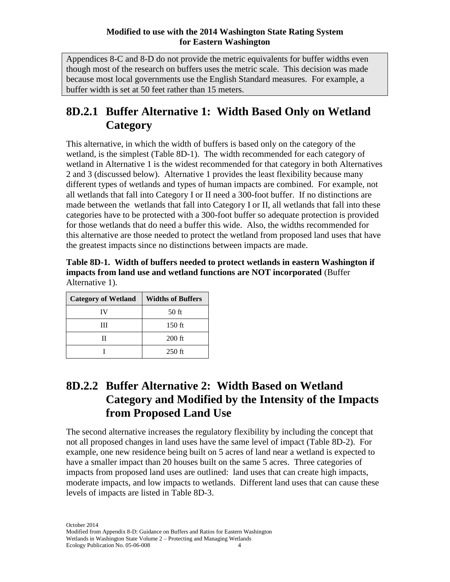Appendices 8-C and 8-D do not provide the metric equivalents for buffer widths even though most of the research on buffers uses the metric scale. This decision was made because most local governments use the English Standard measures. For example, a buffer width is set at 50 feet rather than 15 meters.

# **8D.2.1 Buffer Alternative 1: Width Based Only on Wetland Category**

This alternative, in which the width of buffers is based only on the category of the wetland, is the simplest (Table 8D-1). The width recommended for each category of wetland in Alternative 1 is the widest recommended for that category in both Alternatives 2 and 3 (discussed below). Alternative 1 provides the least flexibility because many different types of wetlands and types of human impacts are combined. For example, not all wetlands that fall into Category I or II need a 300-foot buffer. If no distinctions are made between the wetlands that fall into Category I or II, all wetlands that fall into these categories have to be protected with a 300-foot buffer so adequate protection is provided for those wetlands that do need a buffer this wide. Also, the widths recommended for this alternative are those needed to protect the wetland from proposed land uses that have the greatest impacts since no distinctions between impacts are made.

**Table 8D-1. Width of buffers needed to protect wetlands in eastern Washington if impacts from land use and wetland functions are NOT incorporated** (Buffer Alternative 1).

| <b>Category of Wetland</b> | <b>Widths of Buffers</b> |
|----------------------------|--------------------------|
| IV                         | 50 ft                    |
| ш                          | 150 ft                   |
|                            | $200$ ft                 |
|                            | $250$ ft                 |

# **8D.2.2 Buffer Alternative 2: Width Based on Wetland Category and Modified by the Intensity of the Impacts from Proposed Land Use**

The second alternative increases the regulatory flexibility by including the concept that not all proposed changes in land uses have the same level of impact (Table 8D-2). For example, one new residence being built on 5 acres of land near a wetland is expected to have a smaller impact than 20 houses built on the same 5 acres. Three categories of impacts from proposed land uses are outlined: land uses that can create high impacts, moderate impacts, and low impacts to wetlands. Different land uses that can cause these levels of impacts are listed in Table 8D-3.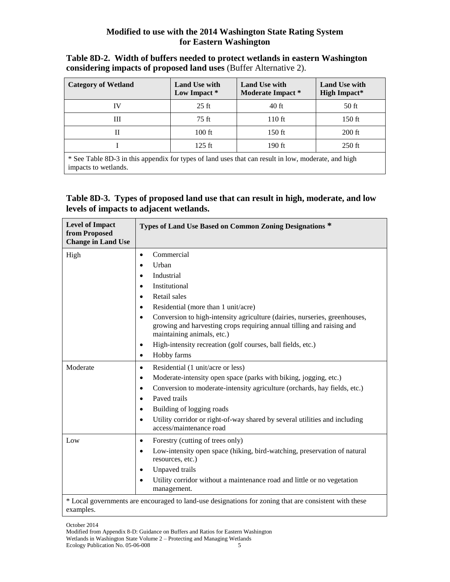| Table 8D-2. Width of buffers needed to protect wetlands in eastern Washington |
|-------------------------------------------------------------------------------|
| considering impacts of proposed land uses (Buffer Alternative 2).             |

| <b>Category of Wetland</b>                                                                                                  | <b>Land Use with</b><br>Low Impact * | <b>Land Use with</b><br>Moderate Impact * | <b>Land Use with</b><br><b>High Impact*</b> |  |  |  |
|-----------------------------------------------------------------------------------------------------------------------------|--------------------------------------|-------------------------------------------|---------------------------------------------|--|--|--|
| IV                                                                                                                          | $25$ ft                              | 40 ft                                     | 50 ft                                       |  |  |  |
| Ш                                                                                                                           | $75$ ft                              | 110 ft                                    | 150 ft                                      |  |  |  |
| П                                                                                                                           | $100$ ft                             | $150$ ft                                  | $200$ ft                                    |  |  |  |
|                                                                                                                             | $125$ ft                             | 190 ft                                    | $250$ ft                                    |  |  |  |
| * See Table 8D-3 in this appendix for types of land uses that can result in low, moderate, and high<br>impacts to wetlands. |                                      |                                           |                                             |  |  |  |

### **Table 8D-3. Types of proposed land use that can result in high, moderate, and low levels of impacts to adjacent wetlands.**

| <b>Level of Impact</b><br>from Proposed<br><b>Change in Land Use</b> | Types of Land Use Based on Common Zoning Designations *                                                                                                                                        |
|----------------------------------------------------------------------|------------------------------------------------------------------------------------------------------------------------------------------------------------------------------------------------|
| High                                                                 | Commercial<br>$\bullet$                                                                                                                                                                        |
|                                                                      | Urban<br>$\bullet$                                                                                                                                                                             |
|                                                                      | Industrial<br>$\bullet$                                                                                                                                                                        |
|                                                                      | Institutional                                                                                                                                                                                  |
|                                                                      | Retail sales<br>$\bullet$                                                                                                                                                                      |
|                                                                      | Residential (more than 1 unit/acre)<br>$\bullet$                                                                                                                                               |
|                                                                      | Conversion to high-intensity agriculture (dairies, nurseries, greenhouses,<br>$\bullet$<br>growing and harvesting crops requiring annual tilling and raising and<br>maintaining animals, etc.) |
|                                                                      | High-intensity recreation (golf courses, ball fields, etc.)<br>$\bullet$                                                                                                                       |
|                                                                      | Hobby farms<br>$\bullet$                                                                                                                                                                       |
| Moderate                                                             | Residential (1 unit/acre or less)<br>$\bullet$                                                                                                                                                 |
|                                                                      | Moderate-intensity open space (parks with biking, jogging, etc.)<br>$\bullet$                                                                                                                  |
|                                                                      | Conversion to moderate-intensity agriculture (orchards, hay fields, etc.)<br>$\bullet$                                                                                                         |
|                                                                      | Paved trails<br>$\bullet$                                                                                                                                                                      |
|                                                                      | Building of logging roads<br>$\bullet$                                                                                                                                                         |
|                                                                      | Utility corridor or right-of-way shared by several utilities and including<br>$\bullet$<br>access/maintenance road                                                                             |
| Low                                                                  | Forestry (cutting of trees only)<br>٠                                                                                                                                                          |
|                                                                      | Low-intensity open space (hiking, bird-watching, preservation of natural<br>$\bullet$<br>resources, etc.)                                                                                      |
|                                                                      | Unpaved trails<br>$\bullet$                                                                                                                                                                    |
|                                                                      | Utility corridor without a maintenance road and little or no vegetation<br>$\bullet$<br>management.                                                                                            |
| examples.                                                            | * Local governments are encouraged to land-use designations for zoning that are consistent with these                                                                                          |

October 2014

Modified from Appendix 8-D: Guidance on Buffers and Ratios for Eastern Washington Wetlands in Washington State Volume 2 – Protecting and Managing Wetlands Ecology Publication No. 05-06-008 5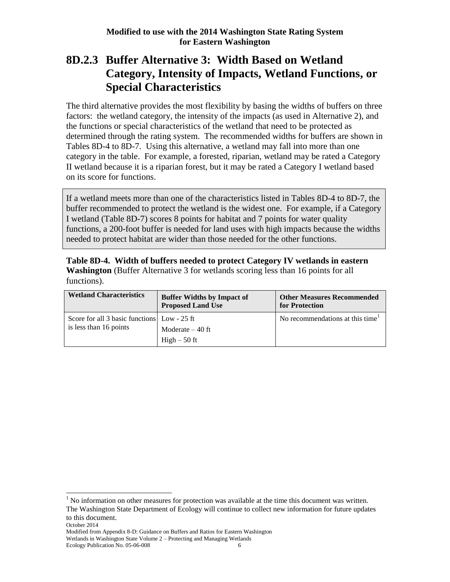## **8D.2.3 Buffer Alternative 3: Width Based on Wetland Category, Intensity of Impacts, Wetland Functions, or Special Characteristics**

The third alternative provides the most flexibility by basing the widths of buffers on three factors: the wetland category, the intensity of the impacts (as used in Alternative 2), and the functions or special characteristics of the wetland that need to be protected as determined through the rating system. The recommended widths for buffers are shown in Tables 8D-4 to 8D-7. Using this alternative, a wetland may fall into more than one category in the table. For example, a forested, riparian, wetland may be rated a Category II wetland because it is a riparian forest, but it may be rated a Category I wetland based on its score for functions.

If a wetland meets more than one of the characteristics listed in Tables 8D-4 to 8D-7, the buffer recommended to protect the wetland is the widest one. For example, if a Category I wetland (Table 8D-7) scores 8 points for habitat and 7 points for water quality functions, a 200-foot buffer is needed for land uses with high impacts because the widths needed to protect habitat are wider than those needed for the other functions.

**Table 8D-4. Width of buffers needed to protect Category IV wetlands in eastern Washington** (Buffer Alternative 3 for wetlands scoring less than 16 points for all functions).

| <b>Wetland Characteristics</b>                                        | <b>Buffer Widths by Impact of</b><br><b>Proposed Land Use</b> | <b>Other Measures Recommended</b><br>for Protection |
|-----------------------------------------------------------------------|---------------------------------------------------------------|-----------------------------------------------------|
| Score for all 3 basic functions Low - 25 ft<br>is less than 16 points | Moderate $-40$ ft                                             | No recommendations at this time <sup>1</sup>        |
|                                                                       | $High-50$ ft                                                  |                                                     |

 $<sup>1</sup>$  No information on other measures for protection was available at the time this document was written.</sup> The Washington State Department of Ecology will continue to collect new information for future updates to this document.

October 2014

Modified from Appendix 8-D: Guidance on Buffers and Ratios for Eastern Washington

Wetlands in Washington State Volume 2 – Protecting and Managing Wetlands

Ecology Publication No. 05-06-008 6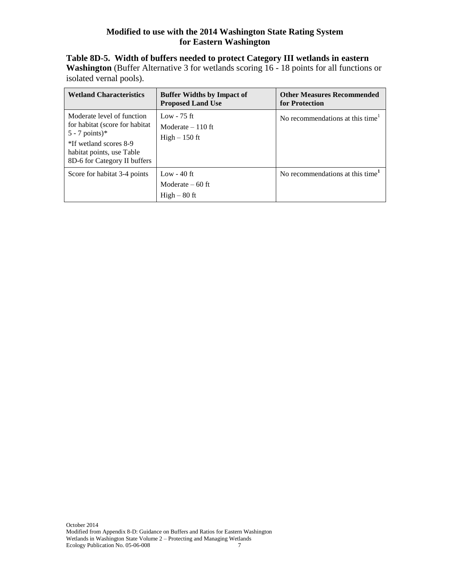| <b>Wetland Characteristics</b>                                                                                                                                           | <b>Buffer Widths by Impact of</b><br><b>Proposed Land Use</b> | <b>Other Measures Recommended</b><br>for Protection |
|--------------------------------------------------------------------------------------------------------------------------------------------------------------------------|---------------------------------------------------------------|-----------------------------------------------------|
| Moderate level of function<br>for habitat (score for habitat)<br>$5 - 7$ points)*<br>*If wetland scores 8-9<br>habitat points, use Table<br>8D-6 for Category II buffers | Low - $75$ ft<br>Moderate $-110$ ft<br>$High-150$ ft          | No recommendations at this time <sup>1</sup>        |
| Score for habitat 3-4 points                                                                                                                                             | Low - $40$ ft<br>Moderate $-60$ ft<br>$High-80$ ft            | No recommendations at this time <sup>1</sup>        |

### **Table 8D-5. Width of buffers needed to protect Category III wetlands in eastern** Washington (Buffer Alternative 3 for wetlands scoring 16 - 18 points for all functions or

isolated vernal pools).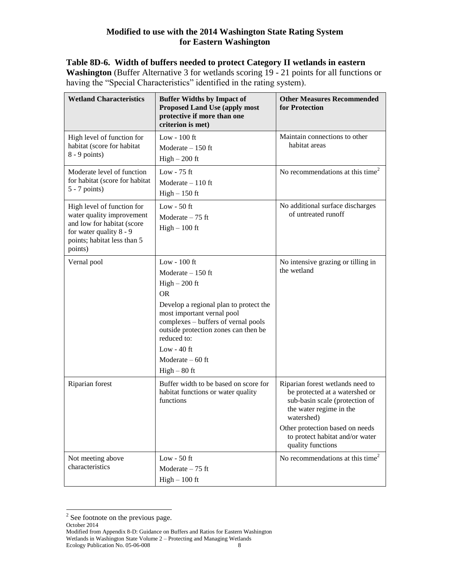### **Table 8D-6. Width of buffers needed to protect Category II wetlands in eastern**

**Washington** (Buffer Alternative 3 for wetlands scoring 19 - 21 points for all functions or having the "Special Characteristics" identified in the rating system).

| <b>Wetland Characteristics</b>                                                                                                                             | <b>Buffer Widths by Impact of</b><br><b>Proposed Land Use (apply most</b><br>protective if more than one<br>criterion is met)                                                                                                                                                              | <b>Other Measures Recommended</b><br>for Protection                                                                                                                                                                                      |
|------------------------------------------------------------------------------------------------------------------------------------------------------------|--------------------------------------------------------------------------------------------------------------------------------------------------------------------------------------------------------------------------------------------------------------------------------------------|------------------------------------------------------------------------------------------------------------------------------------------------------------------------------------------------------------------------------------------|
| High level of function for<br>habitat (score for habitat<br>$8 - 9$ points)                                                                                | Low - $100$ ft<br>Moderate $-150$ ft<br>$High - 200$ ft                                                                                                                                                                                                                                    | Maintain connections to other<br>habitat areas                                                                                                                                                                                           |
| Moderate level of function<br>for habitat (score for habitat<br>$5 - 7$ points)                                                                            | Low - $75$ ft<br>Moderate $-110$ ft<br>$High-150$ ft                                                                                                                                                                                                                                       | No recommendations at this time <sup>2</sup>                                                                                                                                                                                             |
| High level of function for<br>water quality improvement<br>and low for habitat (score<br>for water quality 8 - 9<br>points; habitat less than 5<br>points) | Low - $50$ ft<br>Moderate $-75$ ft<br>$High-100$ ft                                                                                                                                                                                                                                        | No additional surface discharges<br>of untreated runoff                                                                                                                                                                                  |
| Vernal pool                                                                                                                                                | Low - $100$ ft<br>Moderate $-150$ ft<br>$High - 200$ ft<br>OR.<br>Develop a regional plan to protect the<br>most important vernal pool<br>complexes - buffers of vernal pools<br>outside protection zones can then be<br>reduced to:<br>Low - $40$ ft<br>Moderate $-60$ ft<br>$High-80$ ft | No intensive grazing or tilling in<br>the wetland                                                                                                                                                                                        |
| Riparian forest                                                                                                                                            | Buffer width to be based on score for<br>habitat functions or water quality<br>functions                                                                                                                                                                                                   | Riparian forest wetlands need to<br>be protected at a watershed or<br>sub-basin scale (protection of<br>the water regime in the<br>watershed)<br>Other protection based on needs<br>to protect habitat and/or water<br>quality functions |
| Not meeting above<br>characteristics                                                                                                                       | Low - $50$ ft<br>Moderate $-75$ ft<br>$High - 100$ ft                                                                                                                                                                                                                                      | No recommendations at this time <sup>2</sup>                                                                                                                                                                                             |

<sup>&</sup>lt;sup>2</sup> See footnote on the previous page.

#### October 2014

Modified from Appendix 8-D: Guidance on Buffers and Ratios for Eastern Washington Wetlands in Washington State Volume 2 – Protecting and Managing Wetlands<br>Ecology Publication No. 05-06-008 Ecology Publication No. 05-06-008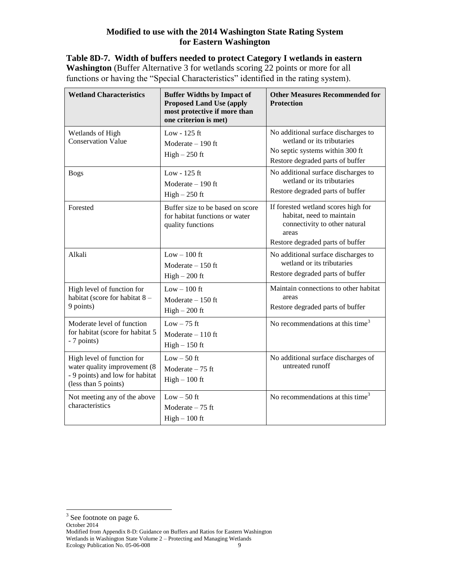**Table 8D-7. Width of buffers needed to protect Category I wetlands in eastern Washington** (Buffer Alternative 3 for wetlands scoring 22 points or more for all functions or having the "Special Characteristics" identified in the rating system).

| <b>Wetland Characteristics</b>                                                                                        | <b>Buffer Widths by Impact of</b><br><b>Proposed Land Use (apply</b><br>most protective if more than<br>one criterion is met) | <b>Other Measures Recommended for</b><br><b>Protection</b>                                                                                     |
|-----------------------------------------------------------------------------------------------------------------------|-------------------------------------------------------------------------------------------------------------------------------|------------------------------------------------------------------------------------------------------------------------------------------------|
| Wetlands of High<br><b>Conservation Value</b>                                                                         | Low - 125 ft<br>Moderate $-190$ ft<br>$High - 250$ ft                                                                         | No additional surface discharges to<br>wetland or its tributaries<br>No septic systems within 300 ft<br>Restore degraded parts of buffer       |
| <b>Bogs</b>                                                                                                           | Low - $125$ ft<br>Moderate $-190$ ft<br>$High-250$ ft                                                                         | No additional surface discharges to<br>wetland or its tributaries<br>Restore degraded parts of buffer                                          |
| Forested                                                                                                              | Buffer size to be based on score<br>for habitat functions or water<br>quality functions                                       | If forested wetland scores high for<br>habitat, need to maintain<br>connectivity to other natural<br>areas<br>Restore degraded parts of buffer |
| Alkali                                                                                                                | $Low - 100$ ft<br>Moderate $-150$ ft<br>$High - 200$ ft                                                                       | No additional surface discharges to<br>wetland or its tributaries<br>Restore degraded parts of buffer                                          |
| High level of function for<br>habitat (score for habitat 8 -<br>9 points)                                             | $Low - 100$ ft<br>Moderate $-150$ ft<br>$High - 200$ ft                                                                       | Maintain connections to other habitat<br>areas<br>Restore degraded parts of buffer                                                             |
| Moderate level of function<br>for habitat (score for habitat 5<br>- 7 points)                                         | $Low - 75$ ft<br>Moderate $-110$ ft<br>$High-150$ ft                                                                          | No recommendations at this time <sup>3</sup>                                                                                                   |
| High level of function for<br>water quality improvement (8<br>- 9 points) and low for habitat<br>(less than 5 points) | $Low - 50$ ft<br>Moderate $-75$ ft<br>$High - 100$ ft                                                                         | No additional surface discharges of<br>untreated runoff                                                                                        |
| Not meeting any of the above<br>characteristics                                                                       | $Low - 50$ ft<br>Moderate $-75$ ft<br>$High - 100$ ft                                                                         | No recommendations at this time <sup>3</sup>                                                                                                   |

Modified from Appendix 8-D: Guidance on Buffers and Ratios for Eastern Washington Wetlands in Washington State Volume 2 – Protecting and Managing Wetlands<br>Ecology Publication No. 05-06-008 Ecology Publication No. 05-06-008

<sup>&</sup>lt;sup>3</sup> See footnote on page 6.

October 2014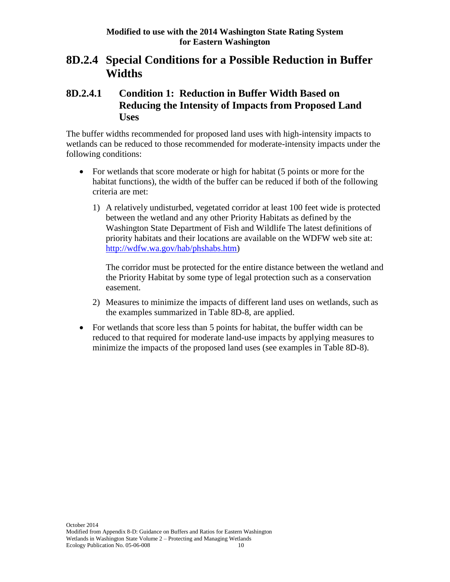### **8D.2.4 Special Conditions for a Possible Reduction in Buffer Widths**

### **8D.2.4.1 Condition 1: Reduction in Buffer Width Based on Reducing the Intensity of Impacts from Proposed Land Uses**

The buffer widths recommended for proposed land uses with high-intensity impacts to wetlands can be reduced to those recommended for moderate-intensity impacts under the following conditions:

- For wetlands that score moderate or high for habitat (5 points or more for the habitat functions), the width of the buffer can be reduced if both of the following criteria are met:
	- 1) A relatively undisturbed, vegetated corridor at least 100 feet wide is protected between the wetland and any other Priority Habitats as defined by the Washington State Department of Fish and Wildlife The latest definitions of priority habitats and their locations are available on the WDFW web site at: [http://wdfw.wa.gov/hab/phshabs.htm\)](http://wdfw.wa.gov/hab/phshabs.htm)

The corridor must be protected for the entire distance between the wetland and the Priority Habitat by some type of legal protection such as a conservation easement.

- 2) Measures to minimize the impacts of different land uses on wetlands, such as the examples summarized in Table 8D-8, are applied.
- For wetlands that score less than 5 points for habitat, the buffer width can be reduced to that required for moderate land-use impacts by applying measures to minimize the impacts of the proposed land uses (see examples in Table 8D-8).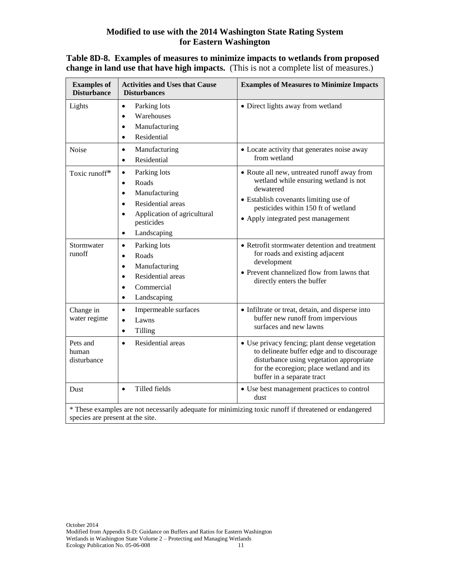| <b>Examples of</b><br><b>Disturbance</b> | <b>Activities and Uses that Cause</b><br><b>Disturbances</b>                                                                                                                                          | <b>Examples of Measures to Minimize Impacts</b>                                                                                                                                                                         |
|------------------------------------------|-------------------------------------------------------------------------------------------------------------------------------------------------------------------------------------------------------|-------------------------------------------------------------------------------------------------------------------------------------------------------------------------------------------------------------------------|
| Lights                                   | Parking lots<br>$\bullet$<br>Warehouses<br>$\bullet$<br>Manufacturing<br>$\bullet$<br>Residential<br>$\bullet$                                                                                        | · Direct lights away from wetland                                                                                                                                                                                       |
| <b>Noise</b>                             | Manufacturing<br>$\bullet$<br>Residential<br>$\bullet$                                                                                                                                                | • Locate activity that generates noise away<br>from wetland                                                                                                                                                             |
| Toxic runoff*                            | Parking lots<br>$\bullet$<br>Roads<br>$\bullet$<br>Manufacturing<br>$\bullet$<br>Residential areas<br>$\bullet$<br>Application of agricultural<br>$\bullet$<br>pesticides<br>Landscaping<br>$\bullet$ | • Route all new, untreated runoff away from<br>wetland while ensuring wetland is not<br>dewatered<br>• Establish covenants limiting use of<br>pesticides within 150 ft of wetland<br>• Apply integrated pest management |
| Stormwater<br>runoff                     | Parking lots<br>$\bullet$<br>Roads<br>$\bullet$<br>Manufacturing<br>$\bullet$<br>Residential areas<br>$\bullet$<br>Commercial<br>$\bullet$<br>Landscaping<br>$\bullet$                                | • Retrofit stormwater detention and treatment<br>for roads and existing adjacent<br>development<br>• Prevent channelized flow from lawns that<br>directly enters the buffer                                             |
| Change in<br>water regime                | Impermeable surfaces<br>$\bullet$<br>Lawns<br>$\bullet$<br>Tilling<br>$\bullet$                                                                                                                       | • Infiltrate or treat, detain, and disperse into<br>buffer new runoff from impervious<br>surfaces and new lawns                                                                                                         |
| Pets and<br>human<br>disturbance         | Residential areas<br>$\bullet$                                                                                                                                                                        | • Use privacy fencing; plant dense vegetation<br>to delineate buffer edge and to discourage<br>disturbance using vegetation appropriate<br>for the ecoregion; place wetland and its<br>buffer in a separate tract       |
| <b>Dust</b>                              | Tilled fields<br>$\bullet$                                                                                                                                                                            | • Use best management practices to control<br>dust                                                                                                                                                                      |
| species are present at the site.         |                                                                                                                                                                                                       | * These examples are not necessarily adequate for minimizing toxic runoff if threatened or endangered                                                                                                                   |

### **Table 8D-8. Examples of measures to minimize impacts to wetlands from proposed change in land use that have high impacts.** (This is not a complete list of measures.)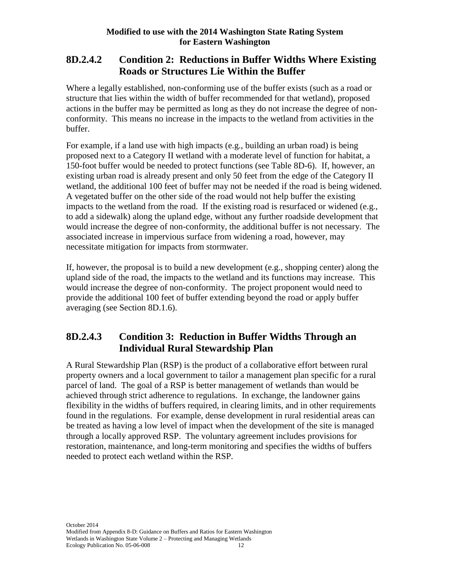### **8D.2.4.2 Condition 2: Reductions in Buffer Widths Where Existing Roads or Structures Lie Within the Buffer**

Where a legally established, non-conforming use of the buffer exists (such as a road or structure that lies within the width of buffer recommended for that wetland), proposed actions in the buffer may be permitted as long as they do not increase the degree of nonconformity. This means no increase in the impacts to the wetland from activities in the buffer.

For example, if a land use with high impacts (e.g., building an urban road) is being proposed next to a Category II wetland with a moderate level of function for habitat, a 150-foot buffer would be needed to protect functions (see Table 8D-6). If, however, an existing urban road is already present and only 50 feet from the edge of the Category II wetland, the additional 100 feet of buffer may not be needed if the road is being widened. A vegetated buffer on the other side of the road would not help buffer the existing impacts to the wetland from the road. If the existing road is resurfaced or widened (e.g., to add a sidewalk) along the upland edge, without any further roadside development that would increase the degree of non-conformity, the additional buffer is not necessary. The associated increase in impervious surface from widening a road, however, may necessitate mitigation for impacts from stormwater.

If, however, the proposal is to build a new development (e.g., shopping center) along the upland side of the road, the impacts to the wetland and its functions may increase. This would increase the degree of non-conformity. The project proponent would need to provide the additional 100 feet of buffer extending beyond the road or apply buffer averaging (see Section 8D.1.6).

### **8D.2.4.3 Condition 3: Reduction in Buffer Widths Through an Individual Rural Stewardship Plan**

A Rural Stewardship Plan (RSP) is the product of a collaborative effort between rural property owners and a local government to tailor a management plan specific for a rural parcel of land. The goal of a RSP is better management of wetlands than would be achieved through strict adherence to regulations. In exchange, the landowner gains flexibility in the widths of buffers required, in clearing limits, and in other requirements found in the regulations. For example, dense development in rural residential areas can be treated as having a low level of impact when the development of the site is managed through a locally approved RSP. The voluntary agreement includes provisions for restoration, maintenance, and long-term monitoring and specifies the widths of buffers needed to protect each wetland within the RSP.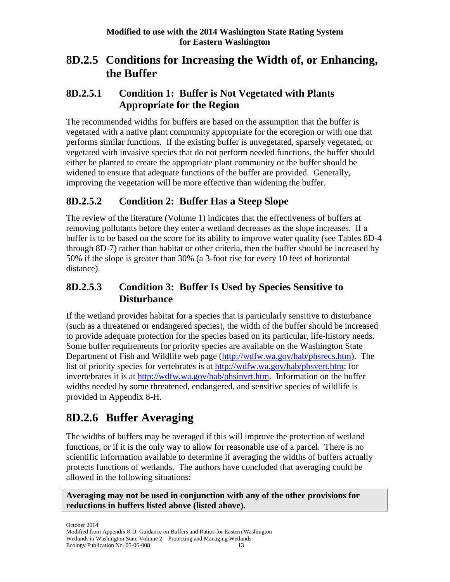## **8D.2.5 Conditions for Increasing the Width of, or Enhancing, the Buffer**

### **8D.2.5.1 Condition 1: Buffer is Not Vegetated with Plants Appropriate for the Region**

The recommended widths for buffers are based on the assumption that the buffer is vegetated with a native plant community appropriate for the ecoregion or with one that performs similar functions. If the existing buffer is unvegetated, sparsely vegetated, or vegetated with invasive species that do not perform needed functions, the buffer should either be planted to create the appropriate plant community or the buffer should be widened to ensure that adequate functions of the buffer are provided. Generally, improving the vegetation will be more effective than widening the buffer.

### **8D.2.5.2 Condition 2: Buffer Has a Steep Slope**

The review of the literature (Volume 1) indicates that the effectiveness of buffers at removing pollutants before they enter a wetland decreases as the slope increases. If a buffer is to be based on the score for its ability to improve water quality (see Tables 8D-4 through 8D-7) rather than habitat or other criteria, then the buffer should be increased by 50% if the slope is greater than 30% (a 3-foot rise for every 10 feet of horizontal distance).

### **8D.2.5.3 Condition 3: Buffer Is Used by Species Sensitive to Disturbance**

If the wetland provides habitat for a species that is particularly sensitive to disturbance (such as a threatened or endangered species), the width of the buffer should be increased to provide adequate protection for the species based on its particular, life-history needs. Some buffer requirements for priority species are available on the Washington State Department of Fish and Wildlife web page [\(http://wdfw.wa.gov/hab/phsrecs.htm\)](http://wdfw.wa.gov/hab/phsrecs.htm). The list of priority species for vertebrates is at [http://wdfw.wa.gov/hab/phsvert.htm;](http://wdfw.wa.gov/hab/phsvert.htm) for invertebrates it is at [http://wdfw.wa.gov/hab/phsinvrt.htm.](http://wdfw.wa.gov/hab/phsinvrt.htm) Information on the buffer widths needed by some threatened, endangered, and sensitive species of wildlife is provided in Appendix 8-H.

# **8D.2.6 Buffer Averaging**

The widths of buffers may be averaged if this will improve the protection of wetland functions, or if it is the only way to allow for reasonable use of a parcel. There is no scientific information available to determine if averaging the widths of buffers actually protects functions of wetlands. The authors have concluded that averaging could be allowed in the following situations:

**Averaging may not be used in conjunction with any of the other provisions for reductions in buffers listed above (listed above).**

October 2014 Modified from Appendix 8-D: Guidance on Buffers and Ratios for Eastern Washington Wetlands in Washington State Volume 2 – Protecting and Managing Wetlands<br>Ecology Publication No. 05-06-008 Ecology Publication No. 05-06-008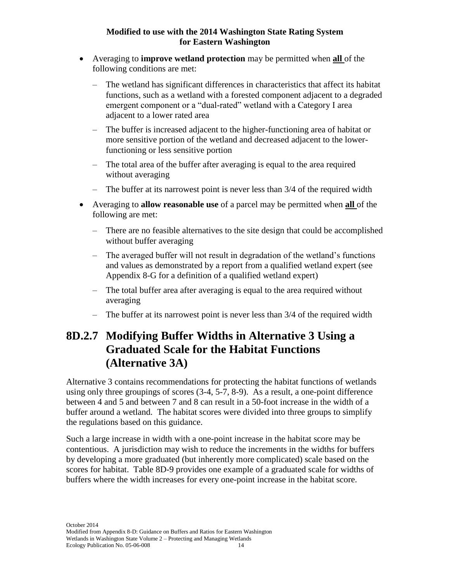- Averaging to **improve wetland protection** may be permitted when **all** of the following conditions are met:
	- The wetland has significant differences in characteristics that affect its habitat functions, such as a wetland with a forested component adjacent to a degraded emergent component or a "dual-rated" wetland with a Category I area adjacent to a lower rated area
	- The buffer is increased adjacent to the higher-functioning area of habitat or more sensitive portion of the wetland and decreased adjacent to the lowerfunctioning or less sensitive portion
	- The total area of the buffer after averaging is equal to the area required without averaging
	- The buffer at its narrowest point is never less than 3/4 of the required width
- Averaging to **allow reasonable use** of a parcel may be permitted when **all** of the following are met:
	- There are no feasible alternatives to the site design that could be accomplished without buffer averaging
	- The averaged buffer will not result in degradation of the wetland's functions and values as demonstrated by a report from a qualified wetland expert (see Appendix 8-G for a definition of a qualified wetland expert)
	- The total buffer area after averaging is equal to the area required without averaging
	- The buffer at its narrowest point is never less than 3/4 of the required width

# **8D.2.7 Modifying Buffer Widths in Alternative 3 Using a Graduated Scale for the Habitat Functions (Alternative 3A)**

Alternative 3 contains recommendations for protecting the habitat functions of wetlands using only three groupings of scores (3-4, 5-7, 8-9). As a result, a one-point difference between 4 and 5 and between 7 and 8 can result in a 50-foot increase in the width of a buffer around a wetland. The habitat scores were divided into three groups to simplify the regulations based on this guidance.

Such a large increase in width with a one-point increase in the habitat score may be contentious. A jurisdiction may wish to reduce the increments in the widths for buffers by developing a more graduated (but inherently more complicated) scale based on the scores for habitat. Table 8D-9 provides one example of a graduated scale for widths of buffers where the width increases for every one-point increase in the habitat score.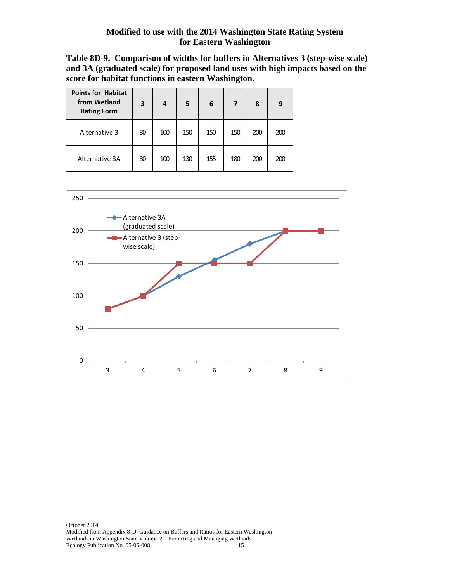**Table 8D-9. Comparison of widths for buffers in Alternatives 3 (step-wise scale) and 3A (graduated scale) for proposed land uses with high impacts based on the score for habitat functions in eastern Washington.**

| <b>Points for Habitat</b><br>from Wetland<br><b>Rating Form</b> | 3  | 4   | 5   | 6   | 7   | 8   | 9   |
|-----------------------------------------------------------------|----|-----|-----|-----|-----|-----|-----|
| Alternative 3                                                   | 80 | 100 | 150 | 150 | 150 | 200 | 200 |
| Alternative 3A                                                  | 80 | 100 | 130 | 155 | 180 | 200 | 200 |

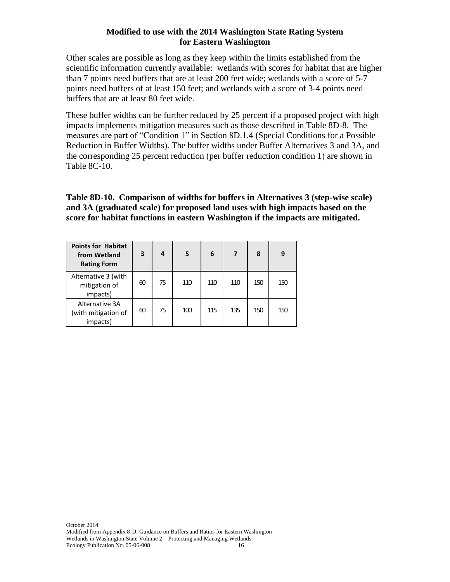Other scales are possible as long as they keep within the limits established from the scientific information currently available: wetlands with scores for habitat that are higher than 7 points need buffers that are at least 200 feet wide; wetlands with a score of 5-7 points need buffers of at least 150 feet; and wetlands with a score of 3-4 points need buffers that are at least 80 feet wide.

These buffer widths can be further reduced by 25 percent if a proposed project with high impacts implements mitigation measures such as those described in Table 8D-8. The measures are part of "Condition 1" in Section 8D.1.4 (Special Conditions for a Possible Reduction in Buffer Widths). The buffer widths under Buffer Alternatives 3 and 3A, and the corresponding 25 percent reduction (per buffer reduction condition 1) are shown in Table 8C-10.

### **Table 8D-10. Comparison of widths for buffers in Alternatives 3 (step-wise scale) and 3A (graduated scale) for proposed land uses with high impacts based on the score for habitat functions in eastern Washington if the impacts are mitigated.**

| <b>Points for Habitat</b><br>from Wetland<br><b>Rating Form</b> | 3  | 4  | 5   | 6   |     | 8   | 9   |
|-----------------------------------------------------------------|----|----|-----|-----|-----|-----|-----|
| Alternative 3 (with<br>mitigation of<br>impacts)                | 60 | 75 | 110 | 110 | 110 | 150 | 150 |
| Alternative 3A<br>(with mitigation of<br>impacts)               | 60 | 75 | 100 | 115 | 135 | 150 | 150 |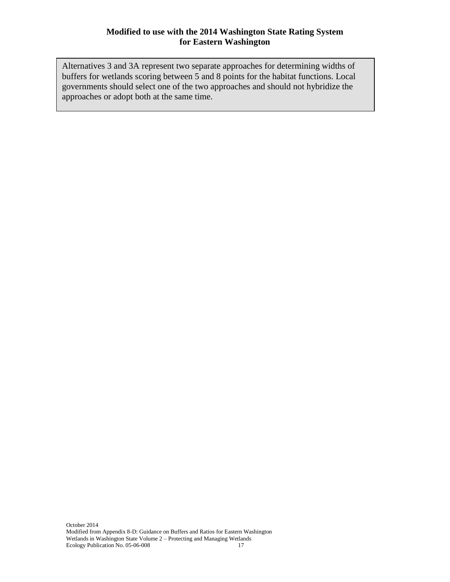Alternatives 3 and 3A represent two separate approaches for determining widths of buffers for wetlands scoring between 5 and 8 points for the habitat functions. Local governments should select one of the two approaches and should not hybridize the approaches or adopt both at the same time.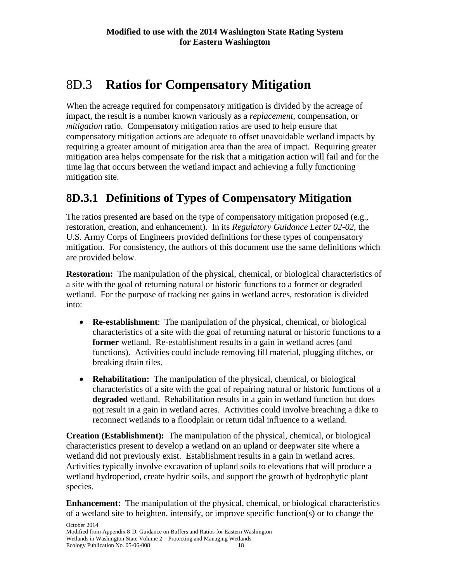# 8D.3 **Ratios for Compensatory Mitigation**

When the acreage required for compensatory mitigation is divided by the acreage of impact, the result is a number known variously as a *replacement,* compensation, or *mitigation* ratio. Compensatory mitigation ratios are used to help ensure that compensatory mitigation actions are adequate to offset unavoidable wetland impacts by requiring a greater amount of mitigation area than the area of impact. Requiring greater mitigation area helps compensate for the risk that a mitigation action will fail and for the time lag that occurs between the wetland impact and achieving a fully functioning mitigation site.

# **8D.3.1 Definitions of Types of Compensatory Mitigation**

The ratios presented are based on the type of compensatory mitigation proposed (e.g., restoration, creation, and enhancement). In its *Regulatory Guidance Letter 02-02*, the U.S. Army Corps of Engineers provided definitions for these types of compensatory mitigation. For consistency, the authors of this document use the same definitions which are provided below.

**Restoration:** The manipulation of the physical, chemical, or biological characteristics of a site with the goal of returning natural or historic functions to a former or degraded wetland. For the purpose of tracking net gains in wetland acres, restoration is divided into:

- **Re-establishment**: The manipulation of the physical, chemical, or biological characteristics of a site with the goal of returning natural or historic functions to a **former** wetland. Re-establishment results in a gain in wetland acres (and functions). Activities could include removing fill material, plugging ditches, or breaking drain tiles.
- **Rehabilitation:** The manipulation of the physical, chemical, or biological characteristics of a site with the goal of repairing natural or historic functions of a **degraded** wetland. Rehabilitation results in a gain in wetland function but does not result in a gain in wetland acres. Activities could involve breaching a dike to reconnect wetlands to a floodplain or return tidal influence to a wetland.

**Creation (Establishment):** The manipulation of the physical, chemical, or biological characteristics present to develop a wetland on an upland or deepwater site where a wetland did not previously exist. Establishment results in a gain in wetland acres. Activities typically involve excavation of upland soils to elevations that will produce a wetland hydroperiod, create hydric soils, and support the growth of hydrophytic plant species.

**Enhancement:** The manipulation of the physical, chemical, or biological characteristics of a wetland site to heighten, intensify, or improve specific function(s) or to change the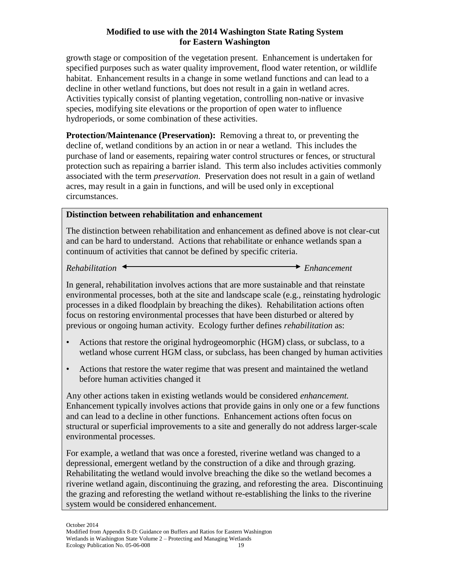growth stage or composition of the vegetation present. Enhancement is undertaken for specified purposes such as water quality improvement, flood water retention, or wildlife habitat. Enhancement results in a change in some wetland functions and can lead to a decline in other wetland functions, but does not result in a gain in wetland acres. Activities typically consist of planting vegetation, controlling non-native or invasive species, modifying site elevations or the proportion of open water to influence hydroperiods, or some combination of these activities.

**Protection/Maintenance (Preservation):** Removing a threat to, or preventing the decline of, wetland conditions by an action in or near a wetland. This includes the purchase of land or easements, repairing water control structures or fences, or structural protection such as repairing a barrier island. This term also includes activities commonly associated with the term *preservation*. Preservation does not result in a gain of wetland acres, may result in a gain in functions, and will be used only in exceptional circumstances.

### **Distinction between rehabilitation and enhancement**

The distinction between rehabilitation and enhancement as defined above is not clear-cut and can be hard to understand. Actions that rehabilitate or enhance wetlands span a continuum of activities that cannot be defined by specific criteria.

*Rehabilitation Enhancement*

In general, rehabilitation involves actions that are more sustainable and that reinstate environmental processes, both at the site and landscape scale (e.g., reinstating hydrologic processes in a diked floodplain by breaching the dikes). Rehabilitation actions often focus on restoring environmental processes that have been disturbed or altered by previous or ongoing human activity. Ecology further defines *rehabilitation* as:

- Actions that restore the original hydrogeomorphic (HGM) class, or subclass, to a wetland whose current HGM class, or subclass, has been changed by human activities
- Actions that restore the water regime that was present and maintained the wetland before human activities changed it

Any other actions taken in existing wetlands would be considered *enhancement.* Enhancement typically involves actions that provide gains in only one or a few functions and can lead to a decline in other functions. Enhancement actions often focus on structural or superficial improvements to a site and generally do not address larger-scale environmental processes.

For example, a wetland that was once a forested, riverine wetland was changed to a depressional, emergent wetland by the construction of a dike and through grazing. Rehabilitating the wetland would involve breaching the dike so the wetland becomes a riverine wetland again, discontinuing the grazing, and reforesting the area. Discontinuing the grazing and reforesting the wetland without re-establishing the links to the riverine system would be considered enhancement.

October 2014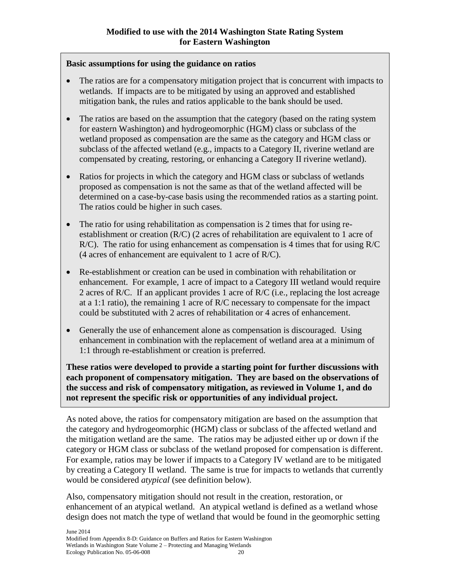### **Basic assumptions for using the guidance on ratios**

- The ratios are for a compensatory mitigation project that is concurrent with impacts to wetlands. If impacts are to be mitigated by using an approved and established mitigation bank, the rules and ratios applicable to the bank should be used.
- The ratios are based on the assumption that the category (based on the rating system for eastern Washington) and hydrogeomorphic (HGM) class or subclass of the wetland proposed as compensation are the same as the category and HGM class or subclass of the affected wetland (e.g., impacts to a Category II, riverine wetland are compensated by creating, restoring, or enhancing a Category II riverine wetland).
- Ratios for projects in which the category and HGM class or subclass of wetlands proposed as compensation is not the same as that of the wetland affected will be determined on a case-by-case basis using the recommended ratios as a starting point. The ratios could be higher in such cases.
- The ratio for using rehabilitation as compensation is 2 times that for using reestablishment or creation (R/C) (2 acres of rehabilitation are equivalent to 1 acre of R/C). The ratio for using enhancement as compensation is 4 times that for using R/C (4 acres of enhancement are equivalent to 1 acre of R/C).
- Re-establishment or creation can be used in combination with rehabilitation or enhancement. For example, 1 acre of impact to a Category III wetland would require 2 acres of R/C. If an applicant provides 1 acre of R/C (i.e., replacing the lost acreage at a 1:1 ratio), the remaining 1 acre of R/C necessary to compensate for the impact could be substituted with 2 acres of rehabilitation or 4 acres of enhancement.
- Generally the use of enhancement alone as compensation is discouraged. Using enhancement in combination with the replacement of wetland area at a minimum of 1:1 through re-establishment or creation is preferred.

**These ratios were developed to provide a starting point for further discussions with each proponent of compensatory mitigation. They are based on the observations of the success and risk of compensatory mitigation, as reviewed in Volume 1, and do not represent the specific risk or opportunities of any individual project.**

As noted above, the ratios for compensatory mitigation are based on the assumption that the category and hydrogeomorphic (HGM) class or subclass of the affected wetland and the mitigation wetland are the same. The ratios may be adjusted either up or down if the category or HGM class or subclass of the wetland proposed for compensation is different. For example, ratios may be lower if impacts to a Category IV wetland are to be mitigated by creating a Category II wetland. The same is true for impacts to wetlands that currently would be considered *atypical* (see definition below).

Also, compensatory mitigation should not result in the creation, restoration, or enhancement of an atypical wetland. An atypical wetland is defined as a wetland whose design does not match the type of wetland that would be found in the geomorphic setting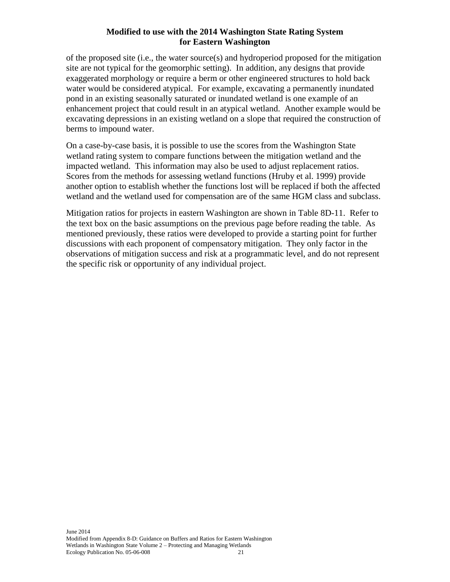of the proposed site (i.e., the water source(s) and hydroperiod proposed for the mitigation site are not typical for the geomorphic setting). In addition, any designs that provide exaggerated morphology or require a berm or other engineered structures to hold back water would be considered atypical. For example, excavating a permanently inundated pond in an existing seasonally saturated or inundated wetland is one example of an enhancement project that could result in an atypical wetland. Another example would be excavating depressions in an existing wetland on a slope that required the construction of berms to impound water.

On a case-by-case basis, it is possible to use the scores from the Washington State wetland rating system to compare functions between the mitigation wetland and the impacted wetland. This information may also be used to adjust replacement ratios. Scores from the methods for assessing wetland functions (Hruby et al. 1999) provide another option to establish whether the functions lost will be replaced if both the affected wetland and the wetland used for compensation are of the same HGM class and subclass.

Mitigation ratios for projects in eastern Washington are shown in Table 8D-11. Refer to the text box on the basic assumptions on the previous page before reading the table. As mentioned previously, these ratios were developed to provide a starting point for further discussions with each proponent of compensatory mitigation. They only factor in the observations of mitigation success and risk at a programmatic level, and do not represent the specific risk or opportunity of any individual project.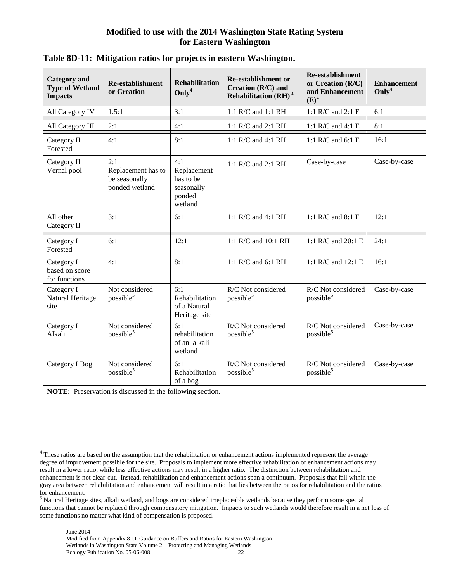| <b>Category</b> and<br><b>Type of Wetland</b><br><b>Impacts</b>  | <b>Re-establishment</b><br>or Creation                       | <b>Rehabilitation</b><br>Only <sup>4</sup>                         | <b>Re-establishment or</b><br>Creation $(R/C)$ and<br>Rehabilitation (RH) <sup>4</sup> | <b>Re-establishment</b><br>or Creation (R/C)<br>and Enhancement<br>$(E)^4$ | <b>Enhancement</b><br>Only <sup>4</sup> |  |  |  |
|------------------------------------------------------------------|--------------------------------------------------------------|--------------------------------------------------------------------|----------------------------------------------------------------------------------------|----------------------------------------------------------------------------|-----------------------------------------|--|--|--|
| All Category IV                                                  | 1.5:1                                                        | 3:1                                                                | 1:1 R/C and 1:1 RH                                                                     | 1:1 R/C and 2:1 E                                                          | 6:1                                     |  |  |  |
| All Category III                                                 | 2:1                                                          | 4:1                                                                | 1:1 R/C and 2:1 RH                                                                     | 1:1 R/C and 4:1 E                                                          | 8:1                                     |  |  |  |
| Category II<br>Forested                                          | 4:1                                                          | 8:1                                                                | 1:1 R/C and 4:1 RH                                                                     | 1:1 R/C and 6:1 E                                                          | 16:1                                    |  |  |  |
| Category II<br>Vernal pool                                       | 2:1<br>Replacement has to<br>be seasonally<br>ponded wetland | 4:1<br>Replacement<br>has to be<br>seasonally<br>ponded<br>wetland | 1:1 R/C and 2:1 RH                                                                     | Case-by-case                                                               | Case-by-case                            |  |  |  |
| All other<br>Category II                                         | 3:1                                                          | 6:1                                                                | 1:1 R/C and 4:1 RH                                                                     | 1:1 R/C and 8:1 E                                                          | 12:1                                    |  |  |  |
| Category I<br>Forested                                           | 6:1                                                          | 12:1                                                               | 1:1 R/C and 10:1 RH                                                                    | 1:1 R/C and 20:1 E                                                         | 24:1                                    |  |  |  |
| Category I<br>based on score<br>for functions                    | 4:1                                                          | 8:1                                                                | 1:1 R/C and 6:1 RH                                                                     | 1:1 R/C and 12:1 E                                                         | 16:1                                    |  |  |  |
| Category I<br>Natural Heritage<br>site                           | Not considered<br>possible <sup>5</sup>                      | 6:1<br>Rehabilitation<br>of a Natural<br>Heritage site             | R/C Not considered<br>possible <sup>5</sup>                                            | R/C Not considered<br>possible <sup>5</sup>                                | Case-by-case                            |  |  |  |
| Category I<br>Alkali                                             | Not considered<br>possible <sup>5</sup>                      | 6:1<br>rehabilitation<br>of an alkali<br>wetland                   | R/C Not considered<br>possible <sup>5</sup>                                            | R/C Not considered<br>possible <sup>5</sup>                                | Case-by-case                            |  |  |  |
| Category I Bog                                                   | Not considered<br>possible <sup>5</sup>                      | 6:1<br>Rehabilitation<br>of a bog                                  | R/C Not considered<br>possible <sup>5</sup>                                            | R/C Not considered<br>possible $5$                                         | Case-by-case                            |  |  |  |
| <b>NOTE:</b> Preservation is discussed in the following section. |                                                              |                                                                    |                                                                                        |                                                                            |                                         |  |  |  |

### **Table 8D-11: Mitigation ratios for projects in eastern Washington.**

 <sup>4</sup> These ratios are based on the assumption that the rehabilitation or enhancement actions implemented represent the average degree of improvement possible for the site. Proposals to implement more effective rehabilitation or enhancement actions may result in a lower ratio, while less effective actions may result in a higher ratio. The distinction between rehabilitation and enhancement is not clear-cut. Instead, rehabilitation and enhancement actions span a continuum. Proposals that fall within the gray area between rehabilitation and enhancement will result in a ratio that lies between the ratios for rehabilitation and the ratios for enhancement.

<sup>5</sup> Natural Heritage sites, alkali wetland, and bogs are considered irreplaceable wetlands because they perform some special functions that cannot be replaced through compensatory mitigation. Impacts to such wetlands would therefore result in a net loss of some functions no matter what kind of compensation is proposed.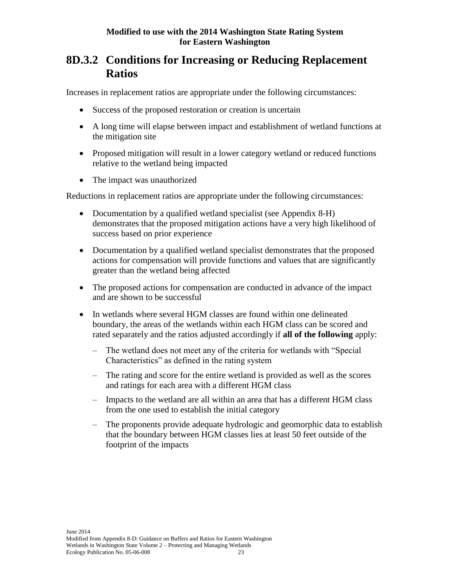### **8D.3.2 Conditions for Increasing or Reducing Replacement Ratios**

Increases in replacement ratios are appropriate under the following circumstances:

- Success of the proposed restoration or creation is uncertain
- A long time will elapse between impact and establishment of wetland functions at the mitigation site
- Proposed mitigation will result in a lower category wetland or reduced functions relative to the wetland being impacted
- The impact was unauthorized

Reductions in replacement ratios are appropriate under the following circumstances:

- Documentation by a qualified wetland specialist (see Appendix 8-H) demonstrates that the proposed mitigation actions have a very high likelihood of success based on prior experience
- Documentation by a qualified wetland specialist demonstrates that the proposed actions for compensation will provide functions and values that are significantly greater than the wetland being affected
- The proposed actions for compensation are conducted in advance of the impact and are shown to be successful
- In wetlands where several HGM classes are found within one delineated boundary, the areas of the wetlands within each HGM class can be scored and rated separately and the ratios adjusted accordingly if **all of the following** apply:
	- The wetland does not meet any of the criteria for wetlands with "Special Characteristics" as defined in the rating system
	- The rating and score for the entire wetland is provided as well as the scores and ratings for each area with a different HGM class
	- Impacts to the wetland are all within an area that has a different HGM class from the one used to establish the initial category
	- The proponents provide adequate hydrologic and geomorphic data to establish that the boundary between HGM classes lies at least 50 feet outside of the footprint of the impacts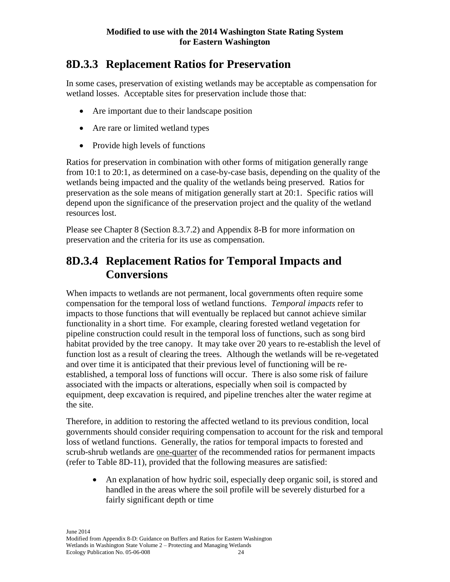## **8D.3.3 Replacement Ratios for Preservation**

In some cases, preservation of existing wetlands may be acceptable as compensation for wetland losses. Acceptable sites for preservation include those that:

- Are important due to their landscape position
- Are rare or limited wetland types
- Provide high levels of functions

Ratios for preservation in combination with other forms of mitigation generally range from 10:1 to 20:1, as determined on a case-by-case basis, depending on the quality of the wetlands being impacted and the quality of the wetlands being preserved. Ratios for preservation as the sole means of mitigation generally start at 20:1. Specific ratios will depend upon the significance of the preservation project and the quality of the wetland resources lost.

Please see Chapter 8 (Section 8.3.7.2) and Appendix 8-B for more information on preservation and the criteria for its use as compensation.

## **8D.3.4 Replacement Ratios for Temporal Impacts and Conversions**

When impacts to wetlands are not permanent, local governments often require some compensation for the temporal loss of wetland functions. *Temporal impacts* refer to impacts to those functions that will eventually be replaced but cannot achieve similar functionality in a short time. For example, clearing forested wetland vegetation for pipeline construction could result in the temporal loss of functions, such as song bird habitat provided by the tree canopy. It may take over 20 years to re-establish the level of function lost as a result of clearing the trees. Although the wetlands will be re-vegetated and over time it is anticipated that their previous level of functioning will be reestablished, a temporal loss of functions will occur. There is also some risk of failure associated with the impacts or alterations, especially when soil is compacted by equipment, deep excavation is required, and pipeline trenches alter the water regime at the site.

Therefore, in addition to restoring the affected wetland to its previous condition, local governments should consider requiring compensation to account for the risk and temporal loss of wetland functions. Generally, the ratios for temporal impacts to forested and scrub-shrub wetlands are one-quarter of the recommended ratios for permanent impacts (refer to Table 8D-11), provided that the following measures are satisfied:

 An explanation of how hydric soil, especially deep organic soil, is stored and handled in the areas where the soil profile will be severely disturbed for a fairly significant depth or time